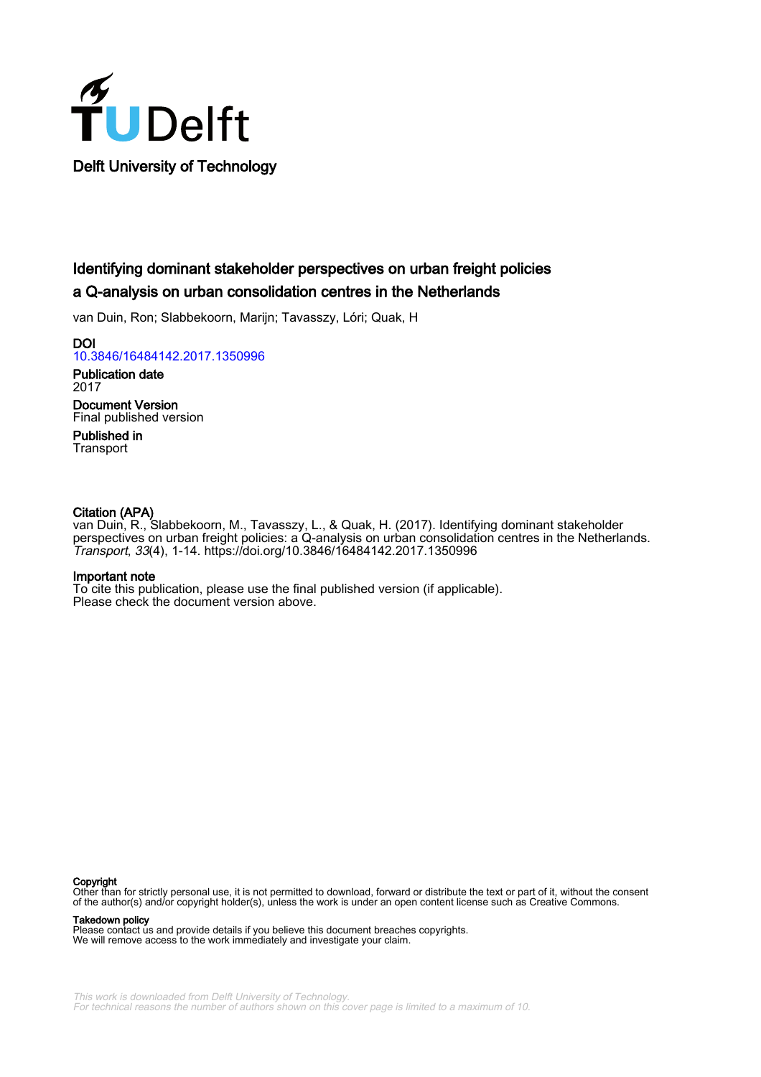

# Identifying dominant stakeholder perspectives on urban freight policies a Q-analysis on urban consolidation centres in the Netherlands

van Duin, Ron; Slabbekoorn, Marijn; Tavasszy, Lóri; Quak, H

DOI [10.3846/16484142.2017.1350996](https://doi.org/10.3846/16484142.2017.1350996)

Publication date 2017 Document Version

Final published version

Published in **Transport** 

# Citation (APA)

van Duin, R., Slabbekoorn, M., Tavasszy, L., & Quak, H. (2017). Identifying dominant stakeholder perspectives on urban freight policies: a Q-analysis on urban consolidation centres in the Netherlands. Transport, 33(4), 1-14. <https://doi.org/10.3846/16484142.2017.1350996>

# Important note

To cite this publication, please use the final published version (if applicable). Please check the document version above.

#### Copyright

Other than for strictly personal use, it is not permitted to download, forward or distribute the text or part of it, without the consent of the author(s) and/or copyright holder(s), unless the work is under an open content license such as Creative Commons.

Takedown policy

Please contact us and provide details if you believe this document breaches copyrights. We will remove access to the work immediately and investigate your claim.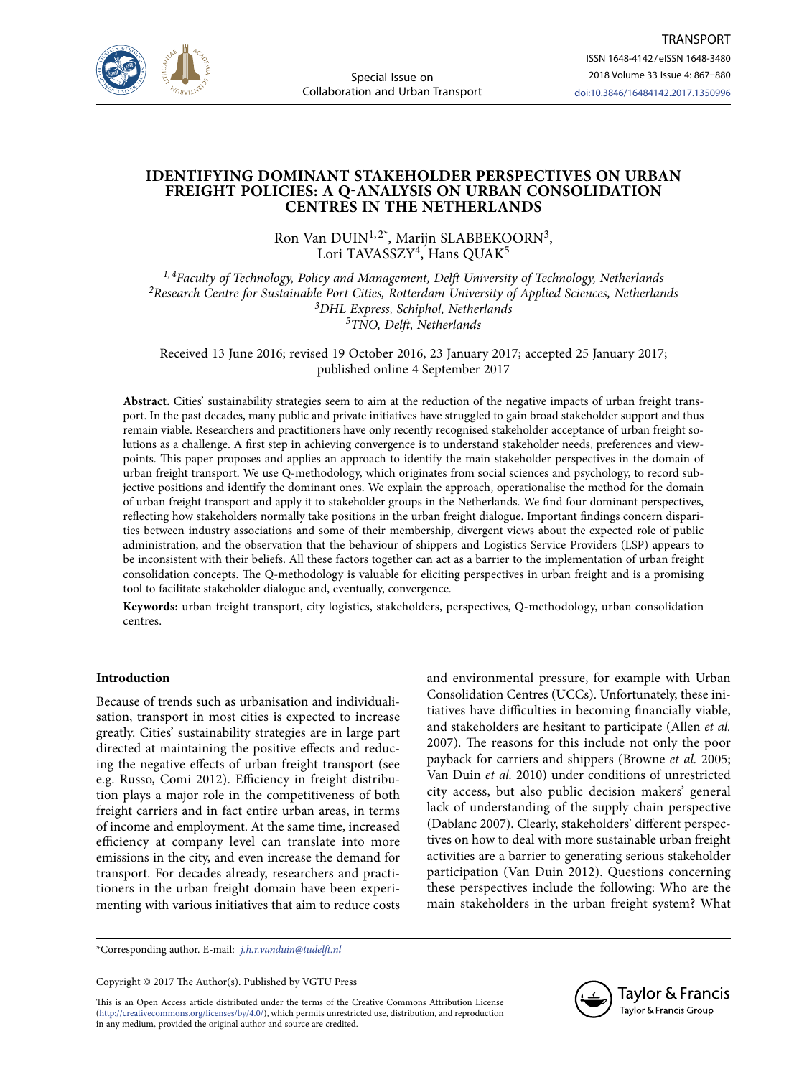

# **IDENTIFYING DOMINANT STAKEHOLDER PERSPECTIVES ON URBAN FREIGHT POLICIES: A Q-ANALYSIS ON URBAN CONSOLIDATION CENTRES IN THE NETHERLANDS**

Ron Van DUIN<sup>1,2\*</sup>, Marijn SLABBEKOORN<sup>3</sup>, Lori TAVASSZY<sup>4</sup>, Hans QUAK<sup>5</sup>

*1, 4Faculty of Technology, Policy and Management, Delft University of Technology, Netherlands 2Research Centre for Sustainable Port Cities, Rotterdam University of Applied Sciences, Netherlands 3DHL Express, Schiphol, Netherlands 5TNO, Delft, Netherlands*

Received 13 June 2016; revised 19 October 2016, 23 January 2017; accepted 25 January 2017; published online 4 September 2017

**Abstract.** Cities' sustainability strategies seem to aim at the reduction of the negative impacts of urban freight transport. In the past decades, many public and private initiatives have struggled to gain broad stakeholder support and thus remain viable. Researchers and practitioners have only recently recognised stakeholder acceptance of urban freight solutions as a challenge. A first step in achieving convergence is to understand stakeholder needs, preferences and viewpoints. This paper proposes and applies an approach to identify the main stakeholder perspectives in the domain of urban freight transport. We use Q-methodology, which originates from social sciences and psychology, to record subjective positions and identify the dominant ones. We explain the approach, operationalise the method for the domain of urban freight transport and apply it to stakeholder groups in the Netherlands. We find four dominant perspectives, reflecting how stakeholders normally take positions in the urban freight dialogue. Important findings concern disparities between industry associations and some of their membership, divergent views about the expected role of public administration, and the observation that the behaviour of shippers and Logistics Service Providers (LSP) appears to be inconsistent with their beliefs. All these factors together can act as a barrier to the implementation of urban freight consolidation concepts. The Q-methodology is valuable for eliciting perspectives in urban freight and is a promising tool to facilitate stakeholder dialogue and, eventually, convergence.

**Keywords:** urban freight transport, city logistics, stakeholders, perspectives, Q-methodology, urban consolidation centres.

# **Introduction**

Because of trends such as urbanisation and individualisation, transport in most cities is expected to increase greatly. Cities' sustainability strategies are in large part directed at maintaining the positive effects and reducing the negative effects of urban freight transport (see e.g. Russo, Comi 2012). Efficiency in freight distribution plays a major role in the competitiveness of both freight carriers and in fact entire urban areas, in terms of income and employment. At the same time, increased efficiency at company level can translate into more emissions in the city, and even increase the demand for transport. For decades already, researchers and practitioners in the urban freight domain have been experimenting with various initiatives that aim to reduce costs and environmental pressure, for example with Urban Consolidation Centres (UCCs). Unfortunately, these initiatives have difficulties in becoming financially viable, and stakeholders are hesitant to participate (Allen *et al.*  2007). The reasons for this include not only the poor payback for carriers and shippers (Browne *et al.* 2005; Van Duin *et al.* 2010) under conditions of unrestricted city access, but also public decision makers' general lack of understanding of the supply chain perspective (Dablanc 2007). Clearly, stakeholders' different perspectives on how to deal with more sustainable urban freight activities are a barrier to generating serious stakeholder participation (Van Duin 2012). Questions concerning these perspectives include the following: Who are the main stakeholders in the urban freight system? What

\*Corresponding author. E-mail: *j.h.r.vanduin@tudelft.nl*

Copyright © 2017 The Author(s). Published by VGTU Press

This is an Open Access article distributed under the terms of the Creative Commons Attribution License (http://creativecommons.org/licenses/by/4.0/), which permits unrestricted use, distribution, and reproduction in any medium, provided the original author and source are credited.

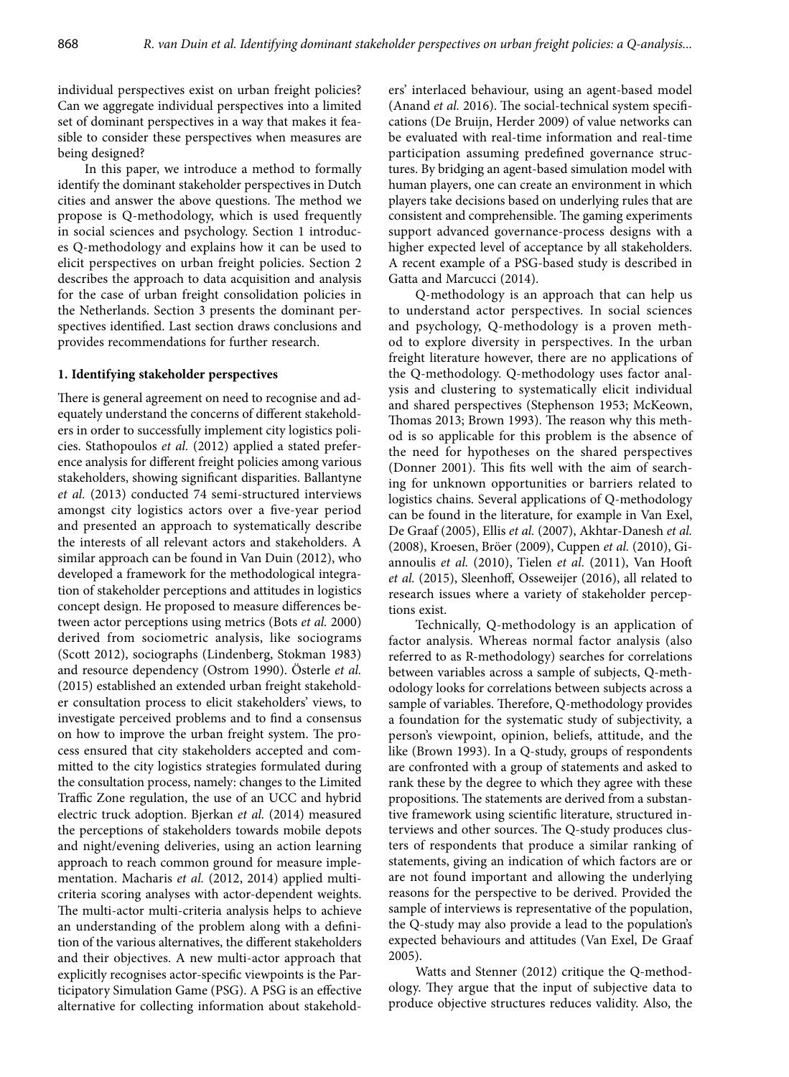individual perspectives exist on urban freight policies? Can we aggregate individual perspectives into a limited set of dominant perspectives in a way that makes it feasible to consider these perspectives when measures are being designed?

In this paper, we introduce a method to formally identify the dominant stakeholder perspectives in Dutch cities and answer the above questions. The method we propose is Q-methodology, which is used frequently in social sciences and psychology. Section 1 introduces Q-methodology and explains how it can be used to elicit perspectives on urban freight policies. Section 2 describes the approach to data acquisition and analysis for the case of urban freight consolidation policies in the Netherlands. Section 3 presents the dominant perspectives identified. Last section draws conclusions and provides recommendations for further research.

### **1. Identifying stakeholder perspectives**

There is general agreement on need to recognise and adequately understand the concerns of different stakeholders in order to successfully implement city logistics policies. Stathopoulos *et al.* (2012) applied a stated preference analysis for different freight policies among various stakeholders, showing significant disparities. Ballantyne *et al.* (2013) conducted 74 semi-structured interviews amongst city logistics actors over a five-year period and presented an approach to systematically describe the interests of all relevant actors and stakeholders. A similar approach can be found in Van Duin (2012), who developed a framework for the methodological integration of stakeholder perceptions and attitudes in logistics concept design. He proposed to measure differences between actor perceptions using metrics (Bots *et al.* 2000) derived from sociometric analysis, like sociograms (Scott 2012), sociographs (Lindenberg, Stokman 1983) and resource dependency (Ostrom 1990). Österle *et al.*  (2015) established an extended urban freight stakeholder consultation process to elicit stakeholders' views, to investigate perceived problems and to find a consensus on how to improve the urban freight system. The process ensured that city stakeholders accepted and committed to the city logistics strategies formulated during the consultation process, namely: changes to the Limited Traffic Zone regulation, the use of an UCC and hybrid electric truck adoption. Bjerkan *et al.* (2014) measured the perceptions of stakeholders towards mobile depots and night/evening deliveries, using an action learning approach to reach common ground for measure implementation. Macharis *et al.* (2012, 2014) applied multicriteria scoring analyses with actor-dependent weights. The multi-actor multi-criteria analysis helps to achieve an understanding of the problem along with a definition of the various alternatives, the different stakeholders and their objectives. A new multi-actor approach that explicitly recognises actor-specific viewpoints is the Participatory Simulation Game (PSG). A PSG is an effective alternative for collecting information about stakeholders' interlaced behaviour, using an agent-based model (Anand *et al.* 2016). The social-technical system specifications (De Bruijn, Herder 2009) of value networks can be evaluated with real-time information and real-time participation assuming predefined governance structures. By bridging an agent-based simulation model with human players, one can create an environment in which players take decisions based on underlying rules that are consistent and comprehensible. The gaming experiments support advanced governance-process designs with a higher expected level of acceptance by all stakeholders. A recent example of a PSG-based study is described in Gatta and Marcucci (2014).

Q-methodology is an approach that can help us to understand actor perspectives. In social sciences and psychology, Q-methodology is a proven method to explore diversity in perspectives. In the urban freight literature however, there are no applications of the Q-methodology. Q-methodology uses factor analysis and clustering to systematically elicit individual and shared perspectives (Stephenson 1953; McKeown, Thomas 2013; Brown 1993). The reason why this method is so applicable for this problem is the absence of the need for hypotheses on the shared perspectives (Donner 2001). This fits well with the aim of searching for unknown opportunities or barriers related to logistics chains. Several applications of Q-methodology can be found in the literature, for example in Van Exel, De Graaf (2005), Ellis *et al.* (2007), Akhtar-Danesh *et al.*  (2008), Kroesen, Bröer (2009), Cuppen *et al.* (2010), Giannoulis *et al.* (2010), Tielen *et al.* (2011), Van Hooft *et al.* (2015), Sleenhoff, Osseweijer (2016), all related to research issues where a variety of stakeholder perceptions exist.

Technically, Q-methodology is an application of factor analysis. Whereas normal factor analysis (also referred to as R-methodology) searches for correlations between variables across a sample of subjects, Q-methodology looks for correlations between subjects across a sample of variables. Therefore, Q-methodology provides a foundation for the systematic study of subjectivity, a person's viewpoint, opinion, beliefs, attitude, and the like (Brown 1993). In a Q-study, groups of respondents are confronted with a group of statements and asked to rank these by the degree to which they agree with these propositions. The statements are derived from a substantive framework using scientific literature, structured interviews and other sources. The Q-study produces clusters of respondents that produce a similar ranking of statements, giving an indication of which factors are or are not found important and allowing the underlying reasons for the perspective to be derived. Provided the sample of interviews is representative of the population, the Q-study may also provide a lead to the population's expected behaviours and attitudes (Van Exel, De Graaf 2005).

Watts and Stenner (2012) critique the Q-methodology. They argue that the input of subjective data to produce objective structures reduces validity. Also, the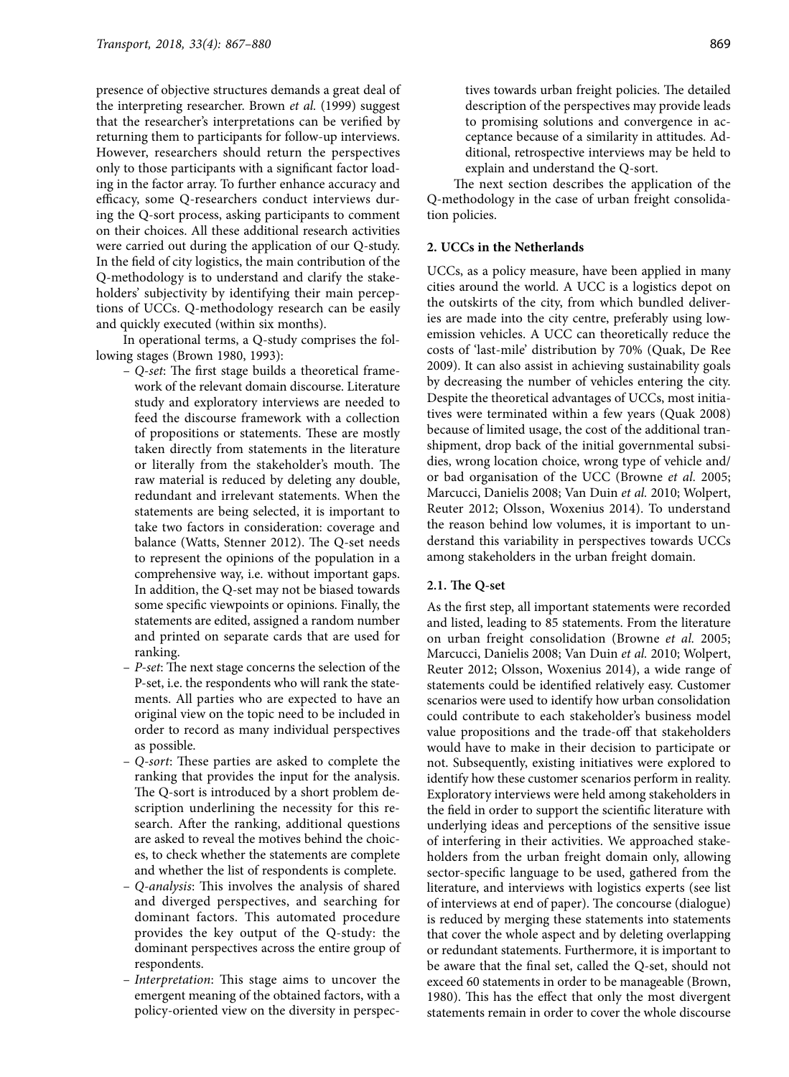presence of objective structures demands a great deal of the interpreting researcher. Brown *et al.* (1999) suggest that the researcher's interpretations can be verified by returning them to participants for follow-up interviews. However, researchers should return the perspectives only to those participants with a significant factor loading in the factor array. To further enhance accuracy and efficacy, some Q-researchers conduct interviews during the Q-sort process, asking participants to comment on their choices. All these additional research activities were carried out during the application of our Q-study. In the field of city logistics, the main contribution of the Q-methodology is to understand and clarify the stakeholders' subjectivity by identifying their main perceptions of UCCs. Q-methodology research can be easily and quickly executed (within six months).

In operational terms, a Q-study comprises the following stages (Brown 1980, 1993):

- *Q-set*: The first stage builds a theoretical framework of the relevant domain discourse. Literature study and exploratory interviews are needed to feed the discourse framework with a collection of propositions or statements. These are mostly taken directly from statements in the literature or literally from the stakeholder's mouth. The raw material is reduced by deleting any double, redundant and irrelevant statements. When the statements are being selected, it is important to take two factors in consideration: coverage and balance (Watts, Stenner 2012). The Q-set needs to represent the opinions of the population in a comprehensive way, i.e. without important gaps. In addition, the Q-set may not be biased towards some specific viewpoints or opinions. Finally, the statements are edited, assigned a random number and printed on separate cards that are used for ranking.
- *P-set*: The next stage concerns the selection of the P-set, i.e. the respondents who will rank the statements. All parties who are expected to have an original view on the topic need to be included in order to record as many individual perspectives as possible.
- *Q-sort*: These parties are asked to complete the ranking that provides the input for the analysis. The Q-sort is introduced by a short problem description underlining the necessity for this research. After the ranking, additional questions are asked to reveal the motives behind the choices, to check whether the statements are complete and whether the list of respondents is complete.
- *Q-analysis*: This involves the analysis of shared and diverged perspectives, and searching for dominant factors. This automated procedure provides the key output of the Q-study: the dominant perspectives across the entire group of respondents.
- *Interpretation*: This stage aims to uncover the emergent meaning of the obtained factors, with a policy-oriented view on the diversity in perspec-

The next section describes the application of the Q-methodology in the case of urban freight consolidation policies.

#### **2. UCCs in the Netherlands**

UCCs, as a policy measure, have been applied in many cities around the world. A UCC is a logistics depot on the outskirts of the city, from which bundled deliveries are made into the city centre, preferably using lowemission vehicles. A UCC can theoretically reduce the costs of 'last-mile' distribution by 70% (Quak, De Ree 2009). It can also assist in achieving sustainability goals by decreasing the number of vehicles entering the city. Despite the theoretical advantages of UCCs, most initiatives were terminated within a few years (Quak 2008) because of limited usage, the cost of the additional transhipment, drop back of the initial governmental subsidies, wrong location choice, wrong type of vehicle and/ or bad organisation of the UCC (Browne *et al.* 2005; Marcucci, Danielis 2008; Van Duin *et al.* 2010; Wolpert, Reuter 2012; Olsson, Woxenius 2014). To understand the reason behind low volumes, it is important to understand this variability in perspectives towards UCCs among stakeholders in the urban freight domain.

## **2.1. The Q-set**

As the first step, all important statements were recorded and listed, leading to 85 statements. From the literature on urban freight consolidation (Browne *et al.* 2005; Marcucci, Danielis 2008; Van Duin *et al.* 2010; Wolpert, Reuter 2012; Olsson, Woxenius 2014), a wide range of statements could be identified relatively easy. Customer scenarios were used to identify how urban consolidation could contribute to each stakeholder's business model value propositions and the trade-off that stakeholders would have to make in their decision to participate or not. Subsequently, existing initiatives were explored to identify how these customer scenarios perform in reality. Exploratory interviews were held among stakeholders in the field in order to support the scientific literature with underlying ideas and perceptions of the sensitive issue of interfering in their activities. We approached stakeholders from the urban freight domain only, allowing sector-specific language to be used, gathered from the literature, and interviews with logistics experts (see list of interviews at end of paper). The concourse (dialogue) is reduced by merging these statements into statements that cover the whole aspect and by deleting overlapping or redundant statements. Furthermore, it is important to be aware that the final set, called the Q-set, should not exceed 60 statements in order to be manageable (Brown, 1980). This has the effect that only the most divergent statements remain in order to cover the whole discourse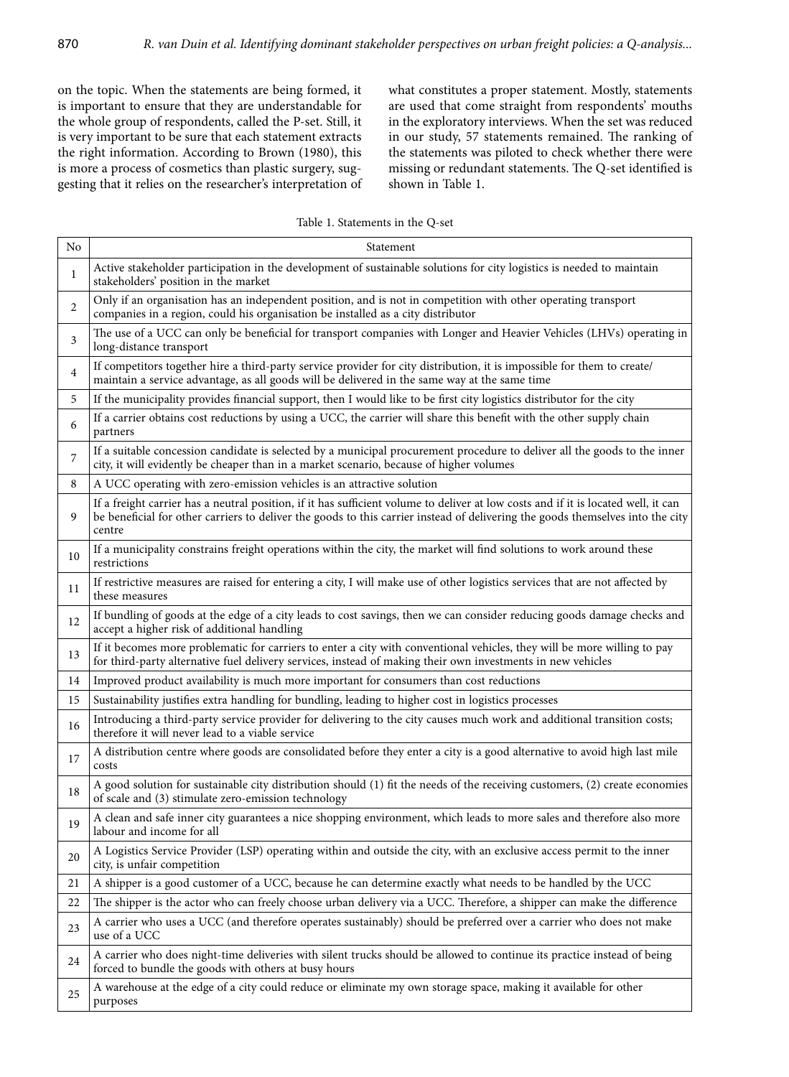on the topic. When the statements are being formed, it is important to ensure that they are understandable for the whole group of respondents, called the P-set. Still, it is very important to be sure that each statement extracts the right information. According to Brown (1980), this is more a process of cosmetics than plastic surgery, suggesting that it relies on the researcher's interpretation of what constitutes a proper statement. Mostly, statements are used that come straight from respondents' mouths in the exploratory interviews. When the set was reduced in our study, 57 statements remained. The ranking of the statements was piloted to check whether there were missing or redundant statements. The Q-set identified is shown in Table 1.

Table 1. Statements in the Q-set

| No | Statement                                                                                                                                                                                                                                                                      |
|----|--------------------------------------------------------------------------------------------------------------------------------------------------------------------------------------------------------------------------------------------------------------------------------|
| 1  | Active stakeholder participation in the development of sustainable solutions for city logistics is needed to maintain<br>stakeholders' position in the market                                                                                                                  |
| 2  | Only if an organisation has an independent position, and is not in competition with other operating transport<br>companies in a region, could his organisation be installed as a city distributor                                                                              |
| 3  | The use of a UCC can only be beneficial for transport companies with Longer and Heavier Vehicles (LHVs) operating in<br>long-distance transport                                                                                                                                |
| 4  | If competitors together hire a third-party service provider for city distribution, it is impossible for them to create/<br>maintain a service advantage, as all goods will be delivered in the same way at the same time                                                       |
| 5  | If the municipality provides financial support, then I would like to be first city logistics distributor for the city                                                                                                                                                          |
| 6  | If a carrier obtains cost reductions by using a UCC, the carrier will share this benefit with the other supply chain<br>partners                                                                                                                                               |
| 7  | If a suitable concession candidate is selected by a municipal procurement procedure to deliver all the goods to the inner<br>city, it will evidently be cheaper than in a market scenario, because of higher volumes                                                           |
| 8  | A UCC operating with zero-emission vehicles is an attractive solution                                                                                                                                                                                                          |
| 9  | If a freight carrier has a neutral position, if it has sufficient volume to deliver at low costs and if it is located well, it can<br>be beneficial for other carriers to deliver the goods to this carrier instead of delivering the goods themselves into the city<br>centre |
| 10 | If a municipality constrains freight operations within the city, the market will find solutions to work around these<br>restrictions                                                                                                                                           |
| 11 | If restrictive measures are raised for entering a city, I will make use of other logistics services that are not affected by<br>these measures                                                                                                                                 |
| 12 | If bundling of goods at the edge of a city leads to cost savings, then we can consider reducing goods damage checks and<br>accept a higher risk of additional handling                                                                                                         |
| 13 | If it becomes more problematic for carriers to enter a city with conventional vehicles, they will be more willing to pay<br>for third-party alternative fuel delivery services, instead of making their own investments in new vehicles                                        |
| 14 | Improved product availability is much more important for consumers than cost reductions                                                                                                                                                                                        |
| 15 | Sustainability justifies extra handling for bundling, leading to higher cost in logistics processes                                                                                                                                                                            |
| 16 | Introducing a third-party service provider for delivering to the city causes much work and additional transition costs;<br>therefore it will never lead to a viable service                                                                                                    |
| 17 | A distribution centre where goods are consolidated before they enter a city is a good alternative to avoid high last mile<br>costs                                                                                                                                             |
| 18 | A good solution for sustainable city distribution should (1) fit the needs of the receiving customers, (2) create economies<br>of scale and (3) stimulate zero-emission technology                                                                                             |
| 19 | A clean and safe inner city guarantees a nice shopping environment, which leads to more sales and therefore also more<br>labour and income for all                                                                                                                             |
| 20 | A Logistics Service Provider (LSP) operating within and outside the city, with an exclusive access permit to the inner<br>city, is unfair competition                                                                                                                          |
| 21 | A shipper is a good customer of a UCC, because he can determine exactly what needs to be handled by the UCC                                                                                                                                                                    |
| 22 | The shipper is the actor who can freely choose urban delivery via a UCC. Therefore, a shipper can make the difference                                                                                                                                                          |
| 23 | A carrier who uses a UCC (and therefore operates sustainably) should be preferred over a carrier who does not make<br>use of a UCC                                                                                                                                             |
| 24 | A carrier who does night-time deliveries with silent trucks should be allowed to continue its practice instead of being<br>forced to bundle the goods with others at busy hours                                                                                                |
| 25 | A warehouse at the edge of a city could reduce or eliminate my own storage space, making it available for other<br>purposes                                                                                                                                                    |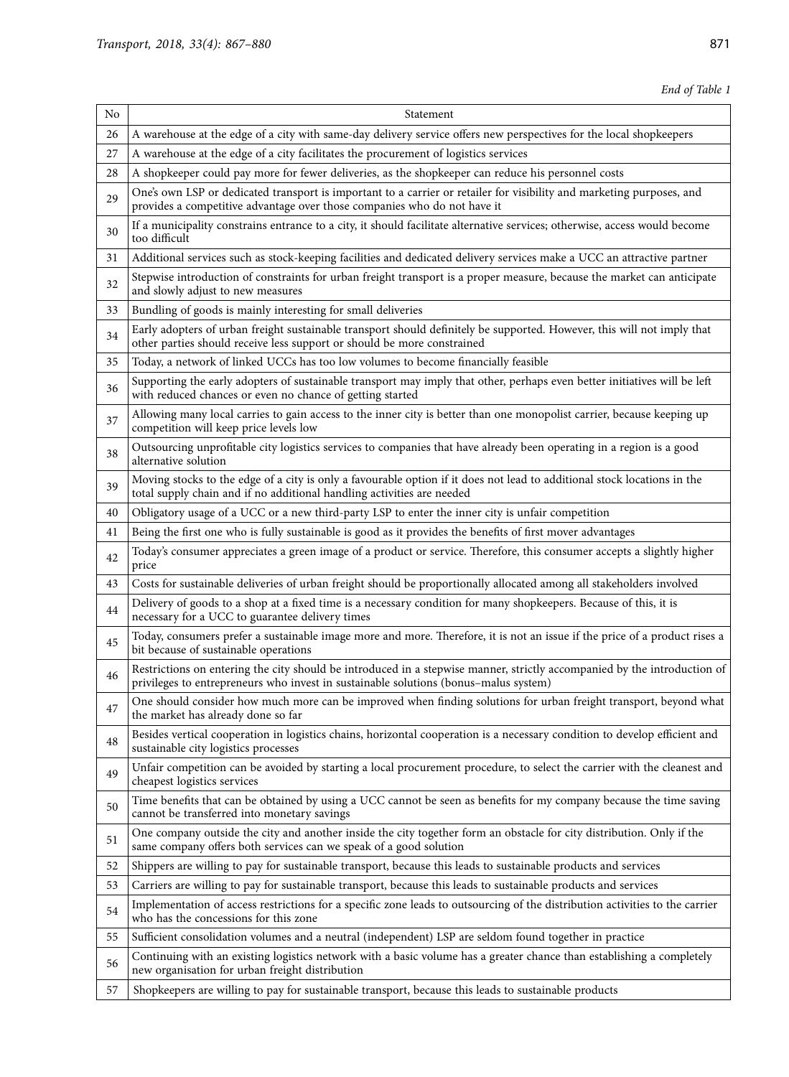*End of Table 1*

| No | Statement                                                                                                                                                                                                        |
|----|------------------------------------------------------------------------------------------------------------------------------------------------------------------------------------------------------------------|
| 26 | A warehouse at the edge of a city with same-day delivery service offers new perspectives for the local shopkeepers                                                                                               |
| 27 | A warehouse at the edge of a city facilitates the procurement of logistics services                                                                                                                              |
| 28 | A shopkeeper could pay more for fewer deliveries, as the shopkeeper can reduce his personnel costs                                                                                                               |
| 29 | One's own LSP or dedicated transport is important to a carrier or retailer for visibility and marketing purposes, and<br>provides a competitive advantage over those companies who do not have it                |
| 30 | If a municipality constrains entrance to a city, it should facilitate alternative services; otherwise, access would become<br>too difficult                                                                      |
| 31 | Additional services such as stock-keeping facilities and dedicated delivery services make a UCC an attractive partner                                                                                            |
| 32 | Stepwise introduction of constraints for urban freight transport is a proper measure, because the market can anticipate<br>and slowly adjust to new measures                                                     |
| 33 | Bundling of goods is mainly interesting for small deliveries                                                                                                                                                     |
| 34 | Early adopters of urban freight sustainable transport should definitely be supported. However, this will not imply that<br>other parties should receive less support or should be more constrained               |
| 35 | Today, a network of linked UCCs has too low volumes to become financially feasible                                                                                                                               |
| 36 | Supporting the early adopters of sustainable transport may imply that other, perhaps even better initiatives will be left<br>with reduced chances or even no chance of getting started                           |
| 37 | Allowing many local carries to gain access to the inner city is better than one monopolist carrier, because keeping up<br>competition will keep price levels low                                                 |
| 38 | Outsourcing unprofitable city logistics services to companies that have already been operating in a region is a good<br>alternative solution                                                                     |
| 39 | Moving stocks to the edge of a city is only a favourable option if it does not lead to additional stock locations in the<br>total supply chain and if no additional handling activities are needed               |
| 40 | Obligatory usage of a UCC or a new third-party LSP to enter the inner city is unfair competition                                                                                                                 |
| 41 | Being the first one who is fully sustainable is good as it provides the benefits of first mover advantages                                                                                                       |
| 42 | Today's consumer appreciates a green image of a product or service. Therefore, this consumer accepts a slightly higher<br>price                                                                                  |
| 43 | Costs for sustainable deliveries of urban freight should be proportionally allocated among all stakeholders involved                                                                                             |
| 44 | Delivery of goods to a shop at a fixed time is a necessary condition for many shopkeepers. Because of this, it is<br>necessary for a UCC to guarantee delivery times                                             |
| 45 | Today, consumers prefer a sustainable image more and more. Therefore, it is not an issue if the price of a product rises a<br>bit because of sustainable operations                                              |
| 46 | Restrictions on entering the city should be introduced in a stepwise manner, strictly accompanied by the introduction of<br>privileges to entrepreneurs who invest in sustainable solutions (bonus-malus system) |
| 47 | One should consider how much more can be improved when finding solutions for urban freight transport, beyond what<br>the market has already done so far                                                          |
| 48 | Besides vertical cooperation in logistics chains, horizontal cooperation is a necessary condition to develop efficient and<br>sustainable city logistics processes                                               |
| 49 | Unfair competition can be avoided by starting a local procurement procedure, to select the carrier with the cleanest and<br>cheapest logistics services                                                          |
| 50 | Time benefits that can be obtained by using a UCC cannot be seen as benefits for my company because the time saving<br>cannot be transferred into monetary savings                                               |
| 51 | One company outside the city and another inside the city together form an obstacle for city distribution. Only if the<br>same company offers both services can we speak of a good solution                       |
| 52 | Shippers are willing to pay for sustainable transport, because this leads to sustainable products and services                                                                                                   |
| 53 | Carriers are willing to pay for sustainable transport, because this leads to sustainable products and services                                                                                                   |
| 54 | Implementation of access restrictions for a specific zone leads to outsourcing of the distribution activities to the carrier<br>who has the concessions for this zone                                            |
| 55 | Sufficient consolidation volumes and a neutral (independent) LSP are seldom found together in practice                                                                                                           |
| 56 | Continuing with an existing logistics network with a basic volume has a greater chance than establishing a completely<br>new organisation for urban freight distribution                                         |
| 57 | Shopkeepers are willing to pay for sustainable transport, because this leads to sustainable products                                                                                                             |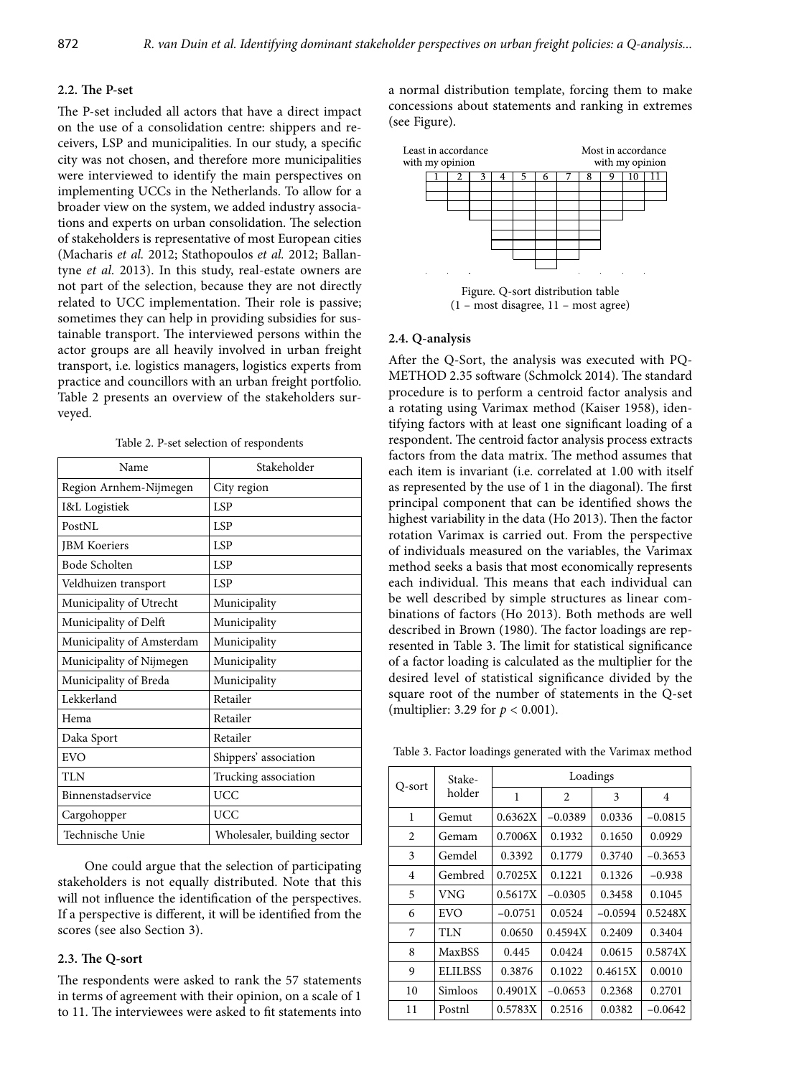# **2.2. The P-set**

The P-set included all actors that have a direct impact on the use of a consolidation centre: shippers and receivers, LSP and municipalities. In our study, a specific city was not chosen, and therefore more municipalities were interviewed to identify the main perspectives on implementing UCCs in the Netherlands. To allow for a broader view on the system, we added industry associations and experts on urban consolidation. The selection of stakeholders is representative of most European cities (Macharis *et al.* 2012; Stathopoulos *et al.* 2012; Ballantyne *et al.* 2013). In this study, real-estate owners are not part of the selection, because they are not directly related to UCC implementation. Their role is passive; sometimes they can help in providing subsidies for sustainable transport. The interviewed persons within the actor groups are all heavily involved in urban freight transport, i.e. logistics managers, logistics experts from practice and councillors with an urban freight portfolio. Table 2 presents an overview of the stakeholders surveyed.

|  |  |  |  |  |  |  |  |  |  | Table 2. P-set selection of respondents |  |  |
|--|--|--|--|--|--|--|--|--|--|-----------------------------------------|--|--|
|--|--|--|--|--|--|--|--|--|--|-----------------------------------------|--|--|

| Name                      | Stakeholder                 |
|---------------------------|-----------------------------|
| Region Arnhem-Nijmegen    | City region                 |
| I&L Logistiek             | <b>LSP</b>                  |
| PostNL                    | <b>LSP</b>                  |
| <b>JBM</b> Koeriers       | <b>LSP</b>                  |
| Bode Scholten             | <b>LSP</b>                  |
| Veldhuizen transport      | LSP                         |
| Municipality of Utrecht   | Municipality                |
| Municipality of Delft     | Municipality                |
| Municipality of Amsterdam | Municipality                |
| Municipality of Nijmegen  | Municipality                |
| Municipality of Breda     | Municipality                |
| Lekkerland                | Retailer                    |
| Hema                      | Retailer                    |
| Daka Sport                | Retailer                    |
| EVO                       | Shippers' association       |
| <b>TLN</b>                | Trucking association        |
| Binnenstadservice         | <b>UCC</b>                  |
| Cargohopper               | <b>UCC</b>                  |
| Technische Unie           | Wholesaler, building sector |

One could argue that the selection of participating stakeholders is not equally distributed. Note that this will not influence the identification of the perspectives. If a perspective is different, it will be identified from the scores (see also Section 3).

# **2.3. The Q-sort**

The respondents were asked to rank the 57 statements in terms of agreement with their opinion, on a scale of 1 to 11. The interviewees were asked to fit statements into a normal distribution template, forcing them to make concessions about statements and ranking in extremes (see Figure).



(1 – most disagree, 11 – most agree)

#### **2.4. Q-analysis**

After the Q-Sort, the analysis was executed with PQ-METHOD 2.35 software (Schmolck 2014). The standard procedure is to perform a centroid factor analysis and a rotating using Varimax method (Kaiser 1958), identifying factors with at least one significant loading of a respondent. The centroid factor analysis process extracts factors from the data matrix. The method assumes that each item is invariant (i.e. correlated at 1.00 with itself as represented by the use of 1 in the diagonal). The first principal component that can be identified shows the highest variability in the data (Ho 2013). Then the factor rotation Varimax is carried out. From the perspective of individuals measured on the variables, the Varimax method seeks a basis that most economically represents each individual. This means that each individual can be well described by simple structures as linear combinations of factors (Ho 2013). Both methods are well described in Brown (1980). The factor loadings are represented in Table 3. The limit for statistical significance of a factor loading is calculated as the multiplier for the desired level of statistical significance divided by the square root of the number of statements in the Q-set (multiplier: 3.29 for *p* < 0.001).

Table 3. Factor loadings generated with the Varimax method

|                | Stake-         |           |                | Loadings  |           |
|----------------|----------------|-----------|----------------|-----------|-----------|
| O-sort         | holder         | 1         | $\overline{c}$ | 3         | 4         |
| 1              | Gemut          | 0.6362X   | $-0.0389$      | 0.0336    | $-0.0815$ |
| 2              | Gemam          | 0.7006X   | 0.1932         | 0.1650    | 0.0929    |
| 3              | Gemdel         | 0.3392    | 0.1779         | 0.3740    | $-0.3653$ |
| $\overline{4}$ | Gembred        | 0.7025X   | 0.1221         | 0.1326    | $-0.938$  |
| 5              | VNG            | 0.5617X   | $-0.0305$      | 0.3458    | 0.1045    |
| 6              | EVO            | $-0.0751$ | 0.0524         | $-0.0594$ | 0.5248X   |
| 7              | <b>TLN</b>     | 0.0650    | 0.4594X        | 0.2409    | 0.3404    |
| 8              | <b>MaxBSS</b>  | 0.445     | 0.0424         | 0.0615    | 0.5874X   |
| 9              | <b>ELILBSS</b> | 0.3876    | 0.1022         | 0.4615X   | 0.0010    |
| 10             | Simloos        | 0.4901X   | $-0.0653$      | 0.2368    | 0.2701    |
| 11             | Postnl         | 0.5783X   | 0.2516         | 0.0382    | $-0.0642$ |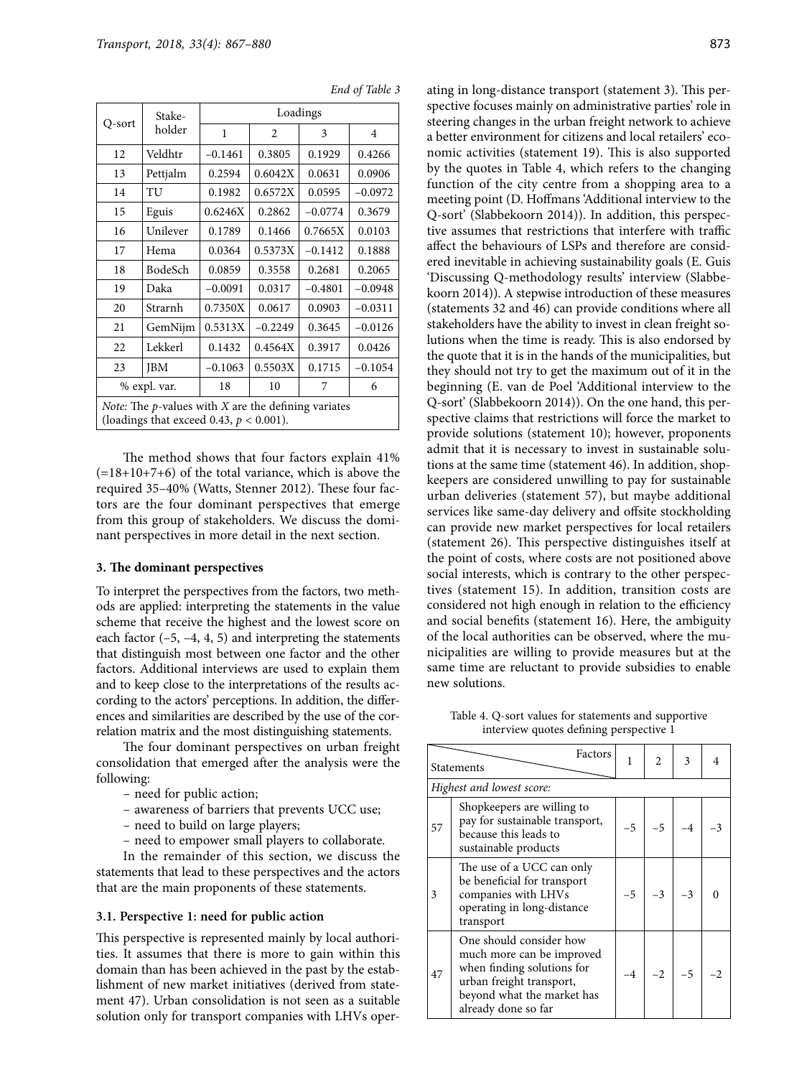| Q-sort                                                                                                        | Stake-       |           |           | Loadings  |                |  |  |  |
|---------------------------------------------------------------------------------------------------------------|--------------|-----------|-----------|-----------|----------------|--|--|--|
|                                                                                                               | holder       | 1         | 2         | 3         | $\overline{4}$ |  |  |  |
| 12                                                                                                            | Veldhtr      | $-0.1461$ | 0.3805    | 0.1929    | 0.4266         |  |  |  |
| 13                                                                                                            | Pettjalm     | 0.2594    | 0.6042X   | 0.0631    | 0.0906         |  |  |  |
| 14                                                                                                            | TU           | 0.1982    | 0.6572X   | 0.0595    | $-0.0972$      |  |  |  |
| 15                                                                                                            | Eguis        | 0.6246X   | 0.2862    | $-0.0774$ | 0.3679         |  |  |  |
| 16                                                                                                            | Unilever     | 0.1789    | 0.1466    | 0.7665X   | 0.0103         |  |  |  |
| 17                                                                                                            | Hema         | 0.0364    | 0.5373X   | $-0.1412$ | 0.1888         |  |  |  |
| 18                                                                                                            | BodeSch      | 0.0859    | 0.3558    | 0.2681    | 0.2065         |  |  |  |
| 19                                                                                                            | Daka         | $-0.0091$ | 0.0317    | $-0.4801$ | $-0.0948$      |  |  |  |
| 20                                                                                                            | Strarnh      | 0.7350X   | 0.0617    | 0.0903    | $-0.0311$      |  |  |  |
| 21                                                                                                            | GemNijm      | 0.5313X   | $-0.2249$ | 0.3645    | $-0.0126$      |  |  |  |
| 22                                                                                                            | Lekkerl      | 0.1432    | 0.4564X   | 0.3917    | 0.0426         |  |  |  |
| 23                                                                                                            | <b>JBM</b>   | $-0.1063$ | 0.5503X   | 0.1715    | $-0.1054$      |  |  |  |
|                                                                                                               | % expl. var. | 18        | 10        | 7         | 6              |  |  |  |
| <i>Note:</i> The $p$ -values with $X$ are the defining variates<br>(loadings that exceed 0.43, $p < 0.001$ ). |              |           |           |           |                |  |  |  |

*End of Table 3*

The method shows that four factors explain 41%  $(=18+10+7+6)$  of the total variance, which is above the required 35–40% (Watts, Stenner 2012). These four factors are the four dominant perspectives that emerge from this group of stakeholders. We discuss the dominant perspectives in more detail in the next section.

#### **3. The dominant perspectives**

To interpret the perspectives from the factors, two methods are applied: interpreting the statements in the value scheme that receive the highest and the lowest score on each factor  $(-5, -4, 4, 5)$  and interpreting the statements that distinguish most between one factor and the other factors. Additional interviews are used to explain them and to keep close to the interpretations of the results according to the actors' perceptions. In addition, the differences and similarities are described by the use of the correlation matrix and the most distinguishing statements.

The four dominant perspectives on urban freight consolidation that emerged after the analysis were the following:

- need for public action;
- awareness of barriers that prevents UCC use;
- need to build on large players;
- need to empower small players to collaborate.

In the remainder of this section, we discuss the statements that lead to these perspectives and the actors that are the main proponents of these statements.

#### **3.1. Perspective 1: need for public action**

This perspective is represented mainly by local authorities. It assumes that there is more to gain within this domain than has been achieved in the past by the establishment of new market initiatives (derived from statement 47). Urban consolidation is not seen as a suitable solution only for transport companies with LHVs operating in long-distance transport (statement 3). This perspective focuses mainly on administrative parties' role in steering changes in the urban freight network to achieve a better environment for citizens and local retailers' economic activities (statement 19). This is also supported by the quotes in Table 4, which refers to the changing function of the city centre from a shopping area to a meeting point (D. Hoffmans 'Additional interview to the Q-sort' (Slabbekoorn 2014)). In addition, this perspective assumes that restrictions that interfere with traffic affect the behaviours of LSPs and therefore are considered inevitable in achieving sustainability goals (E. Guis 'Discussing Q-methodology results' interview (Slabbekoorn 2014)). A stepwise introduction of these measures (statements 32 and 46) can provide conditions where all stakeholders have the ability to invest in clean freight solutions when the time is ready. This is also endorsed by the quote that it is in the hands of the municipalities, but they should not try to get the maximum out of it in the beginning (E. van de Poel 'Additional interview to the Q-sort' (Slabbekoorn 2014)). On the one hand, this perspective claims that restrictions will force the market to provide solutions (statement 10); however, proponents admit that it is necessary to invest in sustainable solutions at the same time (statement 46). In addition, shopkeepers are considered unwilling to pay for sustainable urban deliveries (statement 57), but maybe additional services like same-day delivery and offsite stockholding can provide new market perspectives for local retailers (statement 26). This perspective distinguishes itself at the point of costs, where costs are not positioned above social interests, which is contrary to the other perspectives (statement 15). In addition, transition costs are considered not high enough in relation to the efficiency and social benefits (statement 16). Here, the ambiguity of the local authorities can be observed, where the municipalities are willing to provide measures but at the same time are reluctant to provide subsidies to enable new solutions.

Table 4. Q-sort values for statements and supportive interview quotes defining perspective 1

|    | Factors<br>Statements                                                                                                                                               | 1    | 2    | 3    |  |
|----|---------------------------------------------------------------------------------------------------------------------------------------------------------------------|------|------|------|--|
|    | Highest and lowest score:                                                                                                                                           |      |      |      |  |
| 57 | Shopkeepers are willing to<br>pay for sustainable transport,<br>because this leads to<br>sustainable products                                                       | $-5$ | $-5$ |      |  |
| 3  | The use of a UCC can only<br>be beneficial for transport<br>companies with LHVs<br>operating in long-distance<br>transport                                          | $-5$ | $-3$ |      |  |
| 47 | One should consider how<br>much more can be improved<br>when finding solutions for<br>urban freight transport,<br>beyond what the market has<br>already done so far | $-4$ | $-2$ | $-5$ |  |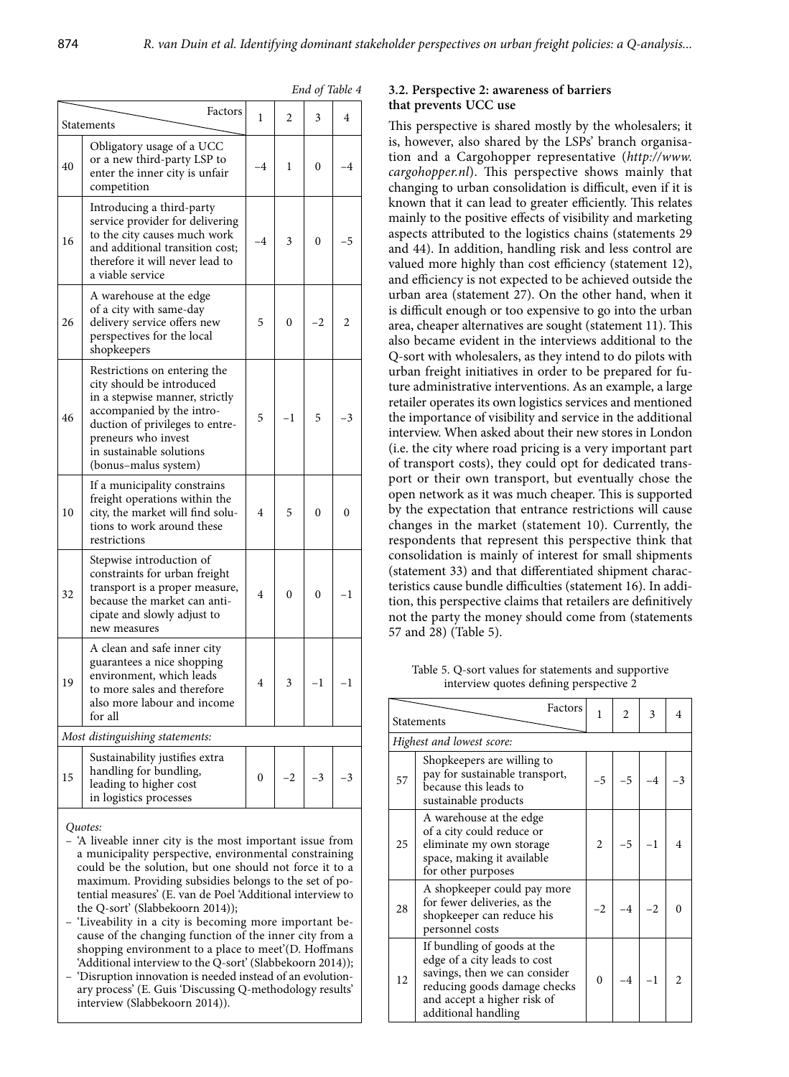|    | Factors                                                                                                                                                                                                                                | 1              | 2        | 3  | 4       |
|----|----------------------------------------------------------------------------------------------------------------------------------------------------------------------------------------------------------------------------------------|----------------|----------|----|---------|
|    | Statements                                                                                                                                                                                                                             |                |          |    |         |
| 40 | Obligatory usage of a UCC<br>or a new third-party LSP to<br>enter the inner city is unfair<br>competition                                                                                                                              | -4             | 1        | 0  | -4      |
| 16 | Introducing a third-party<br>service provider for delivering<br>to the city causes much work<br>and additional transition cost;<br>therefore it will never lead to<br>a viable service                                                 | -4             | 3        | 0  | -5      |
| 26 | A warehouse at the edge<br>of a city with same-day<br>delivery service offers new<br>perspectives for the local<br>shopkeepers                                                                                                         | 5              | 0        | -2 | 2       |
| 46 | Restrictions on entering the<br>city should be introduced<br>in a stepwise manner, strictly<br>accompanied by the intro-<br>duction of privileges to entre-<br>preneurs who invest<br>in sustainable solutions<br>(bonus-malus system) | 5              | $-1$     | 5  | -3      |
| 10 | If a municipality constrains<br>freight operations within the<br>city, the market will find solu-<br>tions to work around these<br>restrictions                                                                                        | 4              | 5        | 0  | 0       |
| 32 | Stepwise introduction of<br>constraints for urban freight<br>transport is a proper measure,<br>because the market can anti-<br>cipate and slowly adjust to<br>new measures                                                             | $\overline{4}$ | $\theta$ | 0  | -1      |
| 19 | A clean and safe inner city<br>guarantees a nice shopping<br>environment, which leads<br>to more sales and therefore<br>also more labour and income<br>for all                                                                         | 4              | 3        | -1 | $^{-1}$ |
|    | Most distinguishing statements:                                                                                                                                                                                                        |                |          |    |         |
| 15 | Sustainability justifies extra<br>handling for bundling,<br>leading to higher cost<br>in logistics processes                                                                                                                           | 0              | -2       | -3 | -3      |
|    |                                                                                                                                                                                                                                        |                |          |    |         |

#### *Quotes:*

- 'A liveable inner city is the most important issue from a municipality perspective, environmental constraining could be the solution, but one should not force it to a maximum. Providing subsidies belongs to the set of potential measures' (E. van de Poel 'Additional interview to the Q-sort' (Slabbekoorn 2014));
- 'Liveability in a city is becoming more important because of the changing function of the inner city from a shopping environment to a place to meet'(D. Hoffmans 'Additional interview to the Q-sort' (Slabbekoorn 2014));
- 'Disruption innovation is needed instead of an evolutionary process' (E. Guis 'Discussing Q-methodology results' interview (Slabbekoorn 2014)).

# *End of Table 4* **3.2. Perspective 2: awareness of barriers that prevents UCC use**

This perspective is shared mostly by the wholesalers; it is, however, also shared by the LSPs' branch organisation and a Cargohopper representative (*[http://www.](http://www.cargohopper.nl) [cargohopper.nl](http://www.cargohopper.nl)*). This perspective shows mainly that changing to urban consolidation is difficult, even if it is known that it can lead to greater efficiently. This relates mainly to the positive effects of visibility and marketing aspects attributed to the logistics chains (statements 29 and 44). In addition, handling risk and less control are valued more highly than cost efficiency (statement 12), and efficiency is not expected to be achieved outside the urban area (statement 27). On the other hand, when it is difficult enough or too expensive to go into the urban area, cheaper alternatives are sought (statement 11). This also became evident in the interviews additional to the Q-sort with wholesalers, as they intend to do pilots with urban freight initiatives in order to be prepared for future administrative interventions. As an example, a large retailer operates its own logistics services and mentioned the importance of visibility and service in the additional interview. When asked about their new stores in London (i.e. the city where road pricing is a very important part of transport costs), they could opt for dedicated transport or their own transport, but eventually chose the open network as it was much cheaper. This is supported by the expectation that entrance restrictions will cause changes in the market (statement 10). Currently, the respondents that represent this perspective think that consolidation is mainly of interest for small shipments (statement 33) and that differentiated shipment characteristics cause bundle difficulties (statement 16). In addition, this perspective claims that retailers are definitively not the party the money should come from (statements 57 and 28) (Table 5).

Table 5. Q-sort values for statements and supportive interview quotes defining perspective 2

|    | Factors<br><b>Statements</b>                                                                                                                                                       |                  |  | 3 | 4 |
|----|------------------------------------------------------------------------------------------------------------------------------------------------------------------------------------|------------------|--|---|---|
|    | Highest and lowest score:                                                                                                                                                          |                  |  |   |   |
| 57 | Shopkeepers are willing to<br>pay for sustainable transport,<br>because this leads to<br>sustainable products                                                                      |                  |  |   |   |
| 25 | A warehouse at the edge<br>of a city could reduce or<br>eliminate my own storage<br>space, making it available<br>for other purposes                                               | $\overline{2}$   |  |   |   |
| 28 | A shopkeeper could pay more<br>for fewer deliveries, as the<br>shopkeeper can reduce his<br>personnel costs                                                                        |                  |  |   |   |
| 12 | If bundling of goods at the<br>edge of a city leads to cost<br>savings, then we can consider<br>reducing goods damage checks<br>and accept a higher risk of<br>additional handling | $\boldsymbol{0}$ |  |   |   |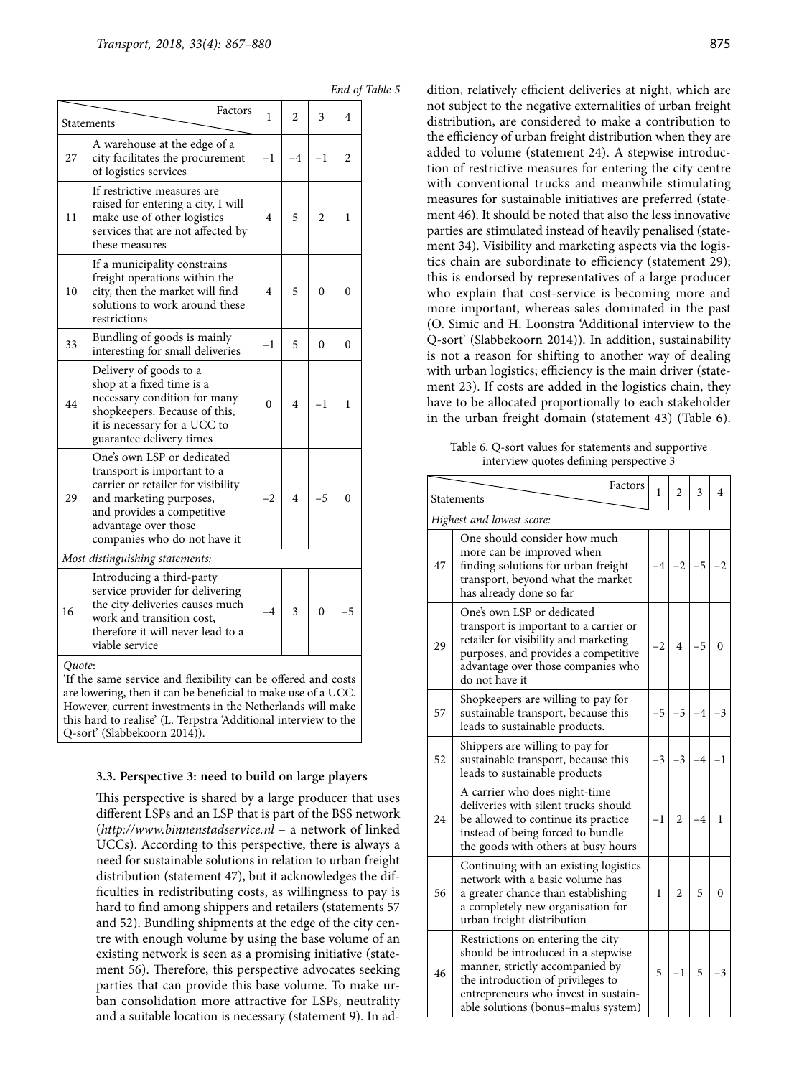|  | End of Table 5 |  |
|--|----------------|--|
|  |                |  |

|    | Factors<br>Statements                                                                                                                                                                                            | 1        | $\overline{c}$ | 3              | 4        |
|----|------------------------------------------------------------------------------------------------------------------------------------------------------------------------------------------------------------------|----------|----------------|----------------|----------|
| 27 | A warehouse at the edge of a<br>city facilitates the procurement<br>of logistics services                                                                                                                        | $-1$     | $-4$           | $-1$           | 2        |
| 11 | If restrictive measures are<br>raised for entering a city, I will<br>make use of other logistics<br>services that are not affected by<br>these measures                                                          | 4        | 5              | $\overline{c}$ | 1        |
| 10 | If a municipality constrains<br>freight operations within the<br>city, then the market will find<br>solutions to work around these<br>restrictions                                                               | 4        | 5              | $\theta$       | 0        |
| 33 | Bundling of goods is mainly<br>interesting for small deliveries                                                                                                                                                  | $^{-1}$  | 5              | $\theta$       | $\theta$ |
| 44 | Delivery of goods to a<br>shop at a fixed time is a<br>necessary condition for many<br>shopkeepers. Because of this,<br>it is necessary for a UCC to<br>guarantee delivery times                                 | $\theta$ | 4              | $-1$           | 1        |
| 29 | One's own LSP or dedicated<br>transport is important to a<br>carrier or retailer for visibility<br>and marketing purposes,<br>and provides a competitive<br>advantage over those<br>companies who do not have it | $^{-2}$  | 4              | -5             | $\theta$ |
|    | Most distinguishing statements:                                                                                                                                                                                  |          |                |                |          |
| 16 | Introducing a third-party<br>service provider for delivering<br>the city deliveries causes much<br>work and transition cost,<br>therefore it will never lead to a<br>viable service                              | $-4$     | 3              | $\theta$       | -5       |

'If the same service and flexibility can be offered and costs are lowering, then it can be beneficial to make use of a UCC. However, current investments in the Netherlands will make this hard to realise' (L. Terpstra 'Additional interview to the Q-sort' (Slabbekoorn 2014)).

#### **3.3. Perspective 3: need to build on large players**

This perspective is shared by a large producer that uses different LSPs and an LSP that is part of the BSS network (*<http://www.binnenstadservice.nl>* – a network of linked UCCs). According to this perspective, there is always a need for sustainable solutions in relation to urban freight distribution (statement 47), but it acknowledges the difficulties in redistributing costs, as willingness to pay is hard to find among shippers and retailers (statements 57 and 52). Bundling shipments at the edge of the city centre with enough volume by using the base volume of an existing network is seen as a promising initiative (statement 56). Therefore, this perspective advocates seeking parties that can provide this base volume. To make urban consolidation more attractive for LSPs, neutrality and a suitable location is necessary (statement 9). In addition, relatively efficient deliveries at night, which are not subject to the negative externalities of urban freight distribution, are considered to make a contribution to the efficiency of urban freight distribution when they are added to volume (statement 24). A stepwise introduction of restrictive measures for entering the city centre with conventional trucks and meanwhile stimulating measures for sustainable initiatives are preferred (statement 46). It should be noted that also the less innovative parties are stimulated instead of heavily penalised (statement 34). Visibility and marketing aspects via the logistics chain are subordinate to efficiency (statement 29); this is endorsed by representatives of a large producer who explain that cost-service is becoming more and more important, whereas sales dominated in the past (O. Simic and H. Loonstra 'Additional interview to the Q-sort' (Slabbekoorn 2014)). In addition, sustainability is not a reason for shifting to another way of dealing with urban logistics; efficiency is the main driver (statement 23). If costs are added in the logistics chain, they have to be allocated proportionally to each stakeholder in the urban freight domain (statement 43) (Table 6).

Table 6. Q-sort values for statements and supportive interview quotes defining perspective 3

|                           | Factors<br>Statements                                                                                                                                                                                                          |      | $\mathfrak{D}$ | 3    | 4    |  |  |
|---------------------------|--------------------------------------------------------------------------------------------------------------------------------------------------------------------------------------------------------------------------------|------|----------------|------|------|--|--|
| Highest and lowest score: |                                                                                                                                                                                                                                |      |                |      |      |  |  |
| 47                        | One should consider how much<br>more can be improved when<br>finding solutions for urban freight<br>transport, beyond what the market<br>has already done so far                                                               | $-4$ | $-2$           | $-5$ | $-2$ |  |  |
| 29                        | One's own LSP or dedicated<br>transport is important to a carrier or<br>retailer for visibility and marketing<br>purposes, and provides a competitive<br>advantage over those companies who<br>do not have it                  | $-2$ | $\overline{4}$ | -5   | 0    |  |  |
| 57                        | Shopkeepers are willing to pay for<br>sustainable transport, because this<br>leads to sustainable products.                                                                                                                    | $-5$ | $-5$           | $-4$ | $-3$ |  |  |
| 52                        | Shippers are willing to pay for<br>sustainable transport, because this<br>leads to sustainable products                                                                                                                        | $-3$ | $-3$           | $-4$ | $-1$ |  |  |
| 24                        | A carrier who does night-time<br>deliveries with silent trucks should<br>be allowed to continue its practice<br>instead of being forced to bundle<br>the goods with others at busy hours                                       | $-1$ | $\overline{2}$ | -4   | 1    |  |  |
| 56                        | Continuing with an existing logistics<br>network with a basic volume has<br>a greater chance than establishing<br>a completely new organisation for<br>urban freight distribution                                              | 1    | 2              | 5    | 0    |  |  |
| 46                        | Restrictions on entering the city<br>should be introduced in a stepwise<br>manner, strictly accompanied by<br>the introduction of privileges to<br>entrepreneurs who invest in sustain-<br>able solutions (bonus-malus system) | 5    | $-1$           | 5    | $-3$ |  |  |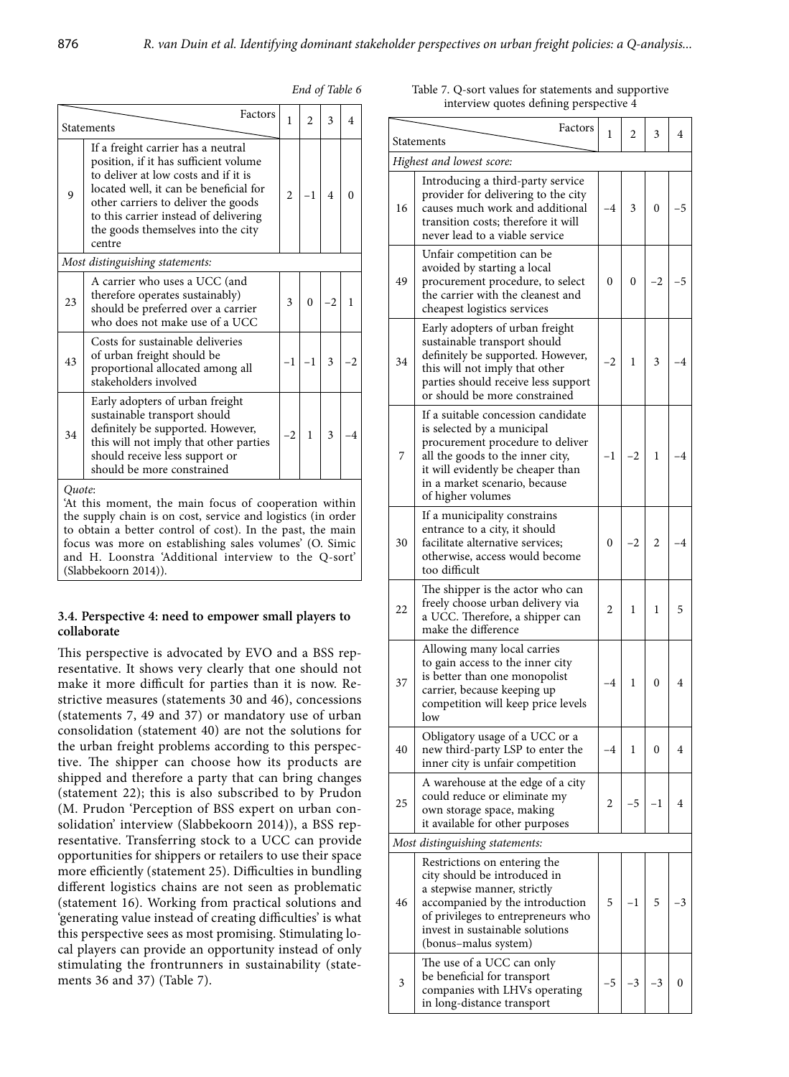|        | Factors<br>Statements                                                                                                                                                                                                                                                                         | 1              | $\overline{c}$ | 3              | 4        |
|--------|-----------------------------------------------------------------------------------------------------------------------------------------------------------------------------------------------------------------------------------------------------------------------------------------------|----------------|----------------|----------------|----------|
| 9      | If a freight carrier has a neutral<br>position, if it has sufficient volume<br>to deliver at low costs and if it is<br>located well, it can be beneficial for<br>other carriers to deliver the goods<br>to this carrier instead of delivering<br>the goods themselves into the city<br>centre | $\overline{c}$ | $-1$           | $\overline{4}$ | $\Omega$ |
|        | Most distinguishing statements:                                                                                                                                                                                                                                                               |                |                |                |          |
| 23     | A carrier who uses a UCC (and<br>therefore operates sustainably)<br>should be preferred over a carrier<br>who does not make use of a UCC                                                                                                                                                      | 3              | $\theta$       | -2             | 1        |
| 43     | Costs for sustainable deliveries<br>of urban freight should be<br>proportional allocated among all<br>stakeholders involved                                                                                                                                                                   | $-1$           | $-1$           | 3              |          |
| 34     | Early adopters of urban freight<br>sustainable transport should<br>definitely be supported. However,<br>this will not imply that other parties<br>should receive less support or<br>should be more constrained                                                                                | $-2$           | $\mathbf{1}$   | 3              |          |
| Ouote: |                                                                                                                                                                                                                                                                                               |                |                |                |          |

*End of Table 6* Table 7. Q-sort values for statements and supportive interview quotes defining perspective 4

|                                 | Factors                                                                                                                                                                                                                             |        |      |    |    |  |  |  |
|---------------------------------|-------------------------------------------------------------------------------------------------------------------------------------------------------------------------------------------------------------------------------------|--------|------|----|----|--|--|--|
|                                 | Statements                                                                                                                                                                                                                          | 1      | 2    | 3  | 4  |  |  |  |
| Highest and lowest score:       |                                                                                                                                                                                                                                     |        |      |    |    |  |  |  |
| 16                              | Introducing a third-party service<br>provider for delivering to the city<br>causes much work and additional<br>transition costs; therefore it will<br>never lead to a viable service                                                | -4     | 3    | 0  | -5 |  |  |  |
| 49                              | Unfair competition can be<br>avoided by starting a local<br>procurement procedure, to select<br>the carrier with the cleanest and<br>cheapest logistics services                                                                    | 0      | 0    | -2 | -5 |  |  |  |
| 34                              | Early adopters of urban freight<br>sustainable transport should<br>definitely be supported. However,<br>this will not imply that other<br>parties should receive less support<br>or should be more constrained                      | -2     | 1    | 3  | -4 |  |  |  |
| 7                               | If a suitable concession candidate<br>is selected by a municipal<br>procurement procedure to deliver<br>all the goods to the inner city,<br>it will evidently be cheaper than<br>in a market scenario, because<br>of higher volumes | -1     | -2   | 1  | 4  |  |  |  |
| 30                              | If a municipality constrains<br>entrance to a city, it should<br>facilitate alternative services;<br>otherwise, access would become<br>too difficult                                                                                |        | -2   | 2  | -4 |  |  |  |
| 22                              | The shipper is the actor who can<br>freely choose urban delivery via<br>a UCC. Therefore, a shipper can<br>make the difference                                                                                                      | 2<br>1 |      | 1  | 5  |  |  |  |
| 37                              | Allowing many local carries<br>to gain access to the inner city<br>is better than one monopolist<br>carrier, because keeping up<br>competition will keep price levels<br>low                                                        | -4     | 1    | 0  | 4  |  |  |  |
| 40                              | Obligatory usage of a UCC or a<br>new third-party LSP to enter the<br>inner city is unfair competition                                                                                                                              | -4     | 1    | 0  | 4  |  |  |  |
| 25                              | A warehouse at the edge of a city<br>could reduce or eliminate my<br>own storage space, making<br>it available for other purposes                                                                                                   | 2      | $-5$ | -1 | 4  |  |  |  |
| Most distinguishing statements: |                                                                                                                                                                                                                                     |        |      |    |    |  |  |  |
| 46                              | Restrictions on entering the<br>city should be introduced in<br>a stepwise manner, strictly<br>accompanied by the introduction<br>of privileges to entrepreneurs who<br>invest in sustainable solutions<br>(bonus-malus system)     | 5      | -1   | 5  | 3  |  |  |  |
| 3                               | The use of a UCC can only<br>be beneficial for transport<br>companies with LHVs operating<br>in long-distance transport                                                                                                             | $-5$   | -3   | -3 | 0  |  |  |  |

'At this moment, the main focus of cooperation within the supply chain is on cost, service and logistics (in order to obtain a better control of cost). In the past, the main focus was more on establishing sales volumes' (O. Simic and H. Loonstra 'Additional interview to the Q-sort' (Slabbekoorn 2014)).

# **3.4. Perspective 4: need to empower small players to collaborate**

This perspective is advocated by EVO and a BSS representative. It shows very clearly that one should not make it more difficult for parties than it is now. Restrictive measures (statements 30 and 46), concessions (statements 7, 49 and 37) or mandatory use of urban consolidation (statement 40) are not the solutions for the urban freight problems according to this perspective. The shipper can choose how its products are shipped and therefore a party that can bring changes (statement 22); this is also subscribed to by Prudon (M. Prudon 'Perception of BSS expert on urban consolidation' interview (Slabbekoorn 2014)), a BSS representative. Transferring stock to a UCC can provide opportunities for shippers or retailers to use their space more efficiently (statement 25). Difficulties in bundling different logistics chains are not seen as problematic (statement 16). Working from practical solutions and 'generating value instead of creating difficulties' is what this perspective sees as most promising. Stimulating local players can provide an opportunity instead of only stimulating the frontrunners in sustainability (statements 36 and 37) (Table 7).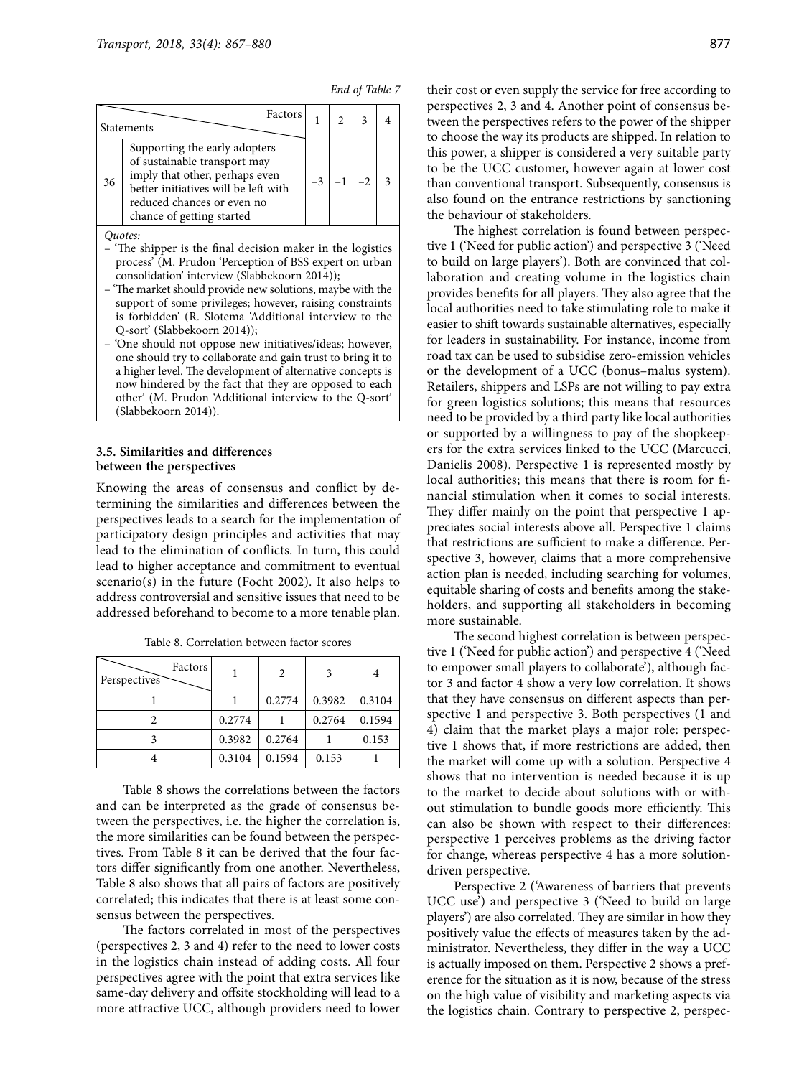|  | End of Table 7 |  |
|--|----------------|--|
|  |                |  |

|    | Factors<br>Statements                                                                                                                                                                              |  |  |
|----|----------------------------------------------------------------------------------------------------------------------------------------------------------------------------------------------------|--|--|
| 36 | Supporting the early adopters<br>of sustainable transport may<br>imply that other, perhaps even<br>better initiatives will be left with<br>reduced chances or even no<br>chance of getting started |  |  |

*Quotes:*

- 'The shipper is the final decision maker in the logistics process' (M. Prudon 'Perception of BSS expert on urban consolidation' interview (Slabbekoorn 2014));
- 'The market should provide new solutions, maybe with the support of some privileges; however, raising constraints is forbidden' (R. Slotema 'Additional interview to the Q-sort' (Slabbekoorn 2014));
- 'One should not oppose new initiatives/ideas; however, one should try to collaborate and gain trust to bring it to a higher level. The development of alternative concepts is now hindered by the fact that they are opposed to each other' (M. Prudon 'Additional interview to the Q-sort' (Slabbekoorn 2014)).

#### **3.5. Similarities and differences between the perspectives**

Knowing the areas of consensus and conflict by determining the similarities and differences between the perspectives leads to a search for the implementation of participatory design principles and activities that may lead to the elimination of conflicts. In turn, this could lead to higher acceptance and commitment to eventual scenario(s) in the future (Focht 2002). It also helps to address controversial and sensitive issues that need to be addressed beforehand to become to a more tenable plan.

| Factors<br>Perspectives |        | 2      | 3      |        |
|-------------------------|--------|--------|--------|--------|
|                         |        | 0.2774 | 0.3982 | 0.3104 |
|                         | 0.2774 |        | 0.2764 | 0.1594 |
|                         | 0.3982 | 0.2764 |        | 0.153  |
|                         | 0.3104 | 0.1594 | 0.153  |        |

Table 8. Correlation between factor scores

Table 8 shows the correlations between the factors and can be interpreted as the grade of consensus between the perspectives, i.e. the higher the correlation is, the more similarities can be found between the perspectives. From Table 8 it can be derived that the four factors differ significantly from one another. Nevertheless, Table 8 also shows that all pairs of factors are positively correlated; this indicates that there is at least some consensus between the perspectives.

The factors correlated in most of the perspectives (perspectives 2, 3 and 4) refer to the need to lower costs in the logistics chain instead of adding costs. All four perspectives agree with the point that extra services like same-day delivery and offsite stockholding will lead to a more attractive UCC, although providers need to lower their cost or even supply the service for free according to perspectives 2, 3 and 4. Another point of consensus between the perspectives refers to the power of the shipper to choose the way its products are shipped. In relation to this power, a shipper is considered a very suitable party to be the UCC customer, however again at lower cost than conventional transport. Subsequently, consensus is also found on the entrance restrictions by sanctioning the behaviour of stakeholders.

The highest correlation is found between perspective 1 ('Need for public action') and perspective 3 ('Need to build on large players'). Both are convinced that collaboration and creating volume in the logistics chain provides benefits for all players. They also agree that the local authorities need to take stimulating role to make it easier to shift towards sustainable alternatives, especially for leaders in sustainability. For instance, income from road tax can be used to subsidise zero-emission vehicles or the development of a UCC (bonus–malus system). Retailers, shippers and LSPs are not willing to pay extra for green logistics solutions; this means that resources need to be provided by a third party like local authorities or supported by a willingness to pay of the shopkeepers for the extra services linked to the UCC (Marcucci, Danielis 2008). Perspective 1 is represented mostly by local authorities; this means that there is room for financial stimulation when it comes to social interests. They differ mainly on the point that perspective 1 appreciates social interests above all. Perspective 1 claims that restrictions are sufficient to make a difference. Perspective 3, however, claims that a more comprehensive action plan is needed, including searching for volumes, equitable sharing of costs and benefits among the stakeholders, and supporting all stakeholders in becoming more sustainable.

The second highest correlation is between perspective 1 ('Need for public action') and perspective 4 ('Need to empower small players to collaborate'), although factor 3 and factor 4 show a very low correlation. It shows that they have consensus on different aspects than perspective 1 and perspective 3. Both perspectives (1 and 4) claim that the market plays a major role: perspective 1 shows that, if more restrictions are added, then the market will come up with a solution. Perspective 4 shows that no intervention is needed because it is up to the market to decide about solutions with or without stimulation to bundle goods more efficiently. This can also be shown with respect to their differences: perspective 1 perceives problems as the driving factor for change, whereas perspective 4 has a more solutiondriven perspective.

Perspective 2 ('Awareness of barriers that prevents UCC use') and perspective 3 ('Need to build on large players') are also correlated. They are similar in how they positively value the effects of measures taken by the administrator. Nevertheless, they differ in the way a UCC is actually imposed on them. Perspective 2 shows a preference for the situation as it is now, because of the stress on the high value of visibility and marketing aspects via the logistics chain. Contrary to perspective 2, perspec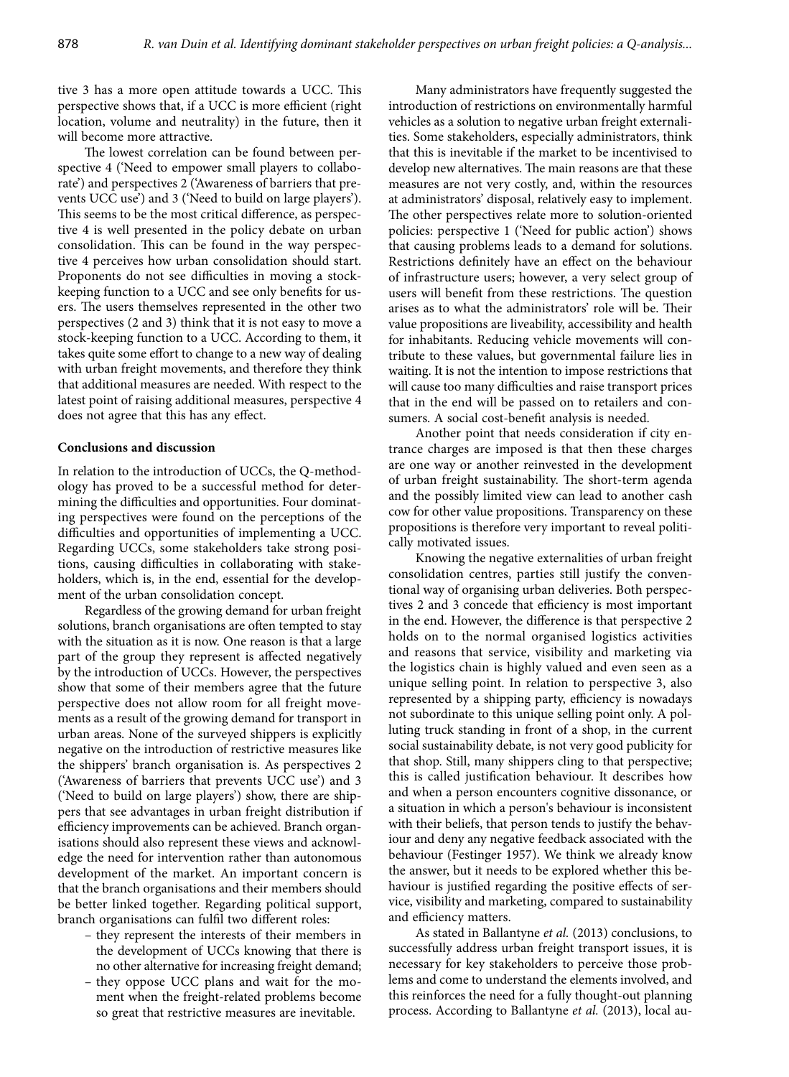tive 3 has a more open attitude towards a UCC. This perspective shows that, if a UCC is more efficient (right location, volume and neutrality) in the future, then it will become more attractive.

The lowest correlation can be found between perspective 4 ('Need to empower small players to collaborate') and perspectives 2 ('Awareness of barriers that prevents UCC use') and 3 ('Need to build on large players'). This seems to be the most critical difference, as perspective 4 is well presented in the policy debate on urban consolidation. This can be found in the way perspective 4 perceives how urban consolidation should start. Proponents do not see difficulties in moving a stockkeeping function to a UCC and see only benefits for users. The users themselves represented in the other two perspectives (2 and 3) think that it is not easy to move a stock-keeping function to a UCC. According to them, it takes quite some effort to change to a new way of dealing with urban freight movements, and therefore they think that additional measures are needed. With respect to the latest point of raising additional measures, perspective 4 does not agree that this has any effect.

#### **Conclusions and discussion**

In relation to the introduction of UCCs, the Q-methodology has proved to be a successful method for determining the difficulties and opportunities. Four dominating perspectives were found on the perceptions of the difficulties and opportunities of implementing a UCC. Regarding UCCs, some stakeholders take strong positions, causing difficulties in collaborating with stakeholders, which is, in the end, essential for the development of the urban consolidation concept.

Regardless of the growing demand for urban freight solutions, branch organisations are often tempted to stay with the situation as it is now. One reason is that a large part of the group they represent is affected negatively by the introduction of UCCs. However, the perspectives show that some of their members agree that the future perspective does not allow room for all freight movements as a result of the growing demand for transport in urban areas. None of the surveyed shippers is explicitly negative on the introduction of restrictive measures like the shippers' branch organisation is. As perspectives 2 ('Awareness of barriers that prevents UCC use') and 3 ('Need to build on large players') show, there are shippers that see advantages in urban freight distribution if efficiency improvements can be achieved. Branch organisations should also represent these views and acknowledge the need for intervention rather than autonomous development of the market. An important concern is that the branch organisations and their members should be better linked together. Regarding political support, branch organisations can fulfil two different roles:

- they represent the interests of their members in the development of UCCs knowing that there is no other alternative for increasing freight demand;
- they oppose UCC plans and wait for the moment when the freight-related problems become so great that restrictive measures are inevitable.

Many administrators have frequently suggested the introduction of restrictions on environmentally harmful vehicles as a solution to negative urban freight externalities. Some stakeholders, especially administrators, think that this is inevitable if the market to be incentivised to develop new alternatives. The main reasons are that these measures are not very costly, and, within the resources at administrators' disposal, relatively easy to implement. The other perspectives relate more to solution-oriented policies: perspective 1 ('Need for public action') shows that causing problems leads to a demand for solutions. Restrictions definitely have an effect on the behaviour of infrastructure users; however, a very select group of users will benefit from these restrictions. The question arises as to what the administrators' role will be. Their value propositions are liveability, accessibility and health for inhabitants. Reducing vehicle movements will contribute to these values, but governmental failure lies in waiting. It is not the intention to impose restrictions that will cause too many difficulties and raise transport prices that in the end will be passed on to retailers and consumers. A social cost-benefit analysis is needed.

Another point that needs consideration if city entrance charges are imposed is that then these charges are one way or another reinvested in the development of urban freight sustainability. The short-term agenda and the possibly limited view can lead to another cash cow for other value propositions. Transparency on these propositions is therefore very important to reveal politically motivated issues.

Knowing the negative externalities of urban freight consolidation centres, parties still justify the conventional way of organising urban deliveries. Both perspectives 2 and 3 concede that efficiency is most important in the end. However, the difference is that perspective 2 holds on to the normal organised logistics activities and reasons that service, visibility and marketing via the logistics chain is highly valued and even seen as a unique selling point. In relation to perspective 3, also represented by a shipping party, efficiency is nowadays not subordinate to this unique selling point only. A polluting truck standing in front of a shop, in the current social sustainability debate, is not very good publicity for that shop. Still, many shippers cling to that perspective; this is called justification behaviour. It describes how and when a person encounters cognitive dissonance, or a situation in which a person's behaviour is inconsistent with their beliefs, that person tends to justify the behaviour and deny any negative feedback associated with the behaviour (Festinger 1957). We think we already know the answer, but it needs to be explored whether this behaviour is justified regarding the positive effects of service, visibility and marketing, compared to sustainability and efficiency matters.

As stated in Ballantyne *et al.* (2013) conclusions, to successfully address urban freight transport issues, it is necessary for key stakeholders to perceive those problems and come to understand the elements involved, and this reinforces the need for a fully thought-out planning process. According to Ballantyne *et al.* (2013), local au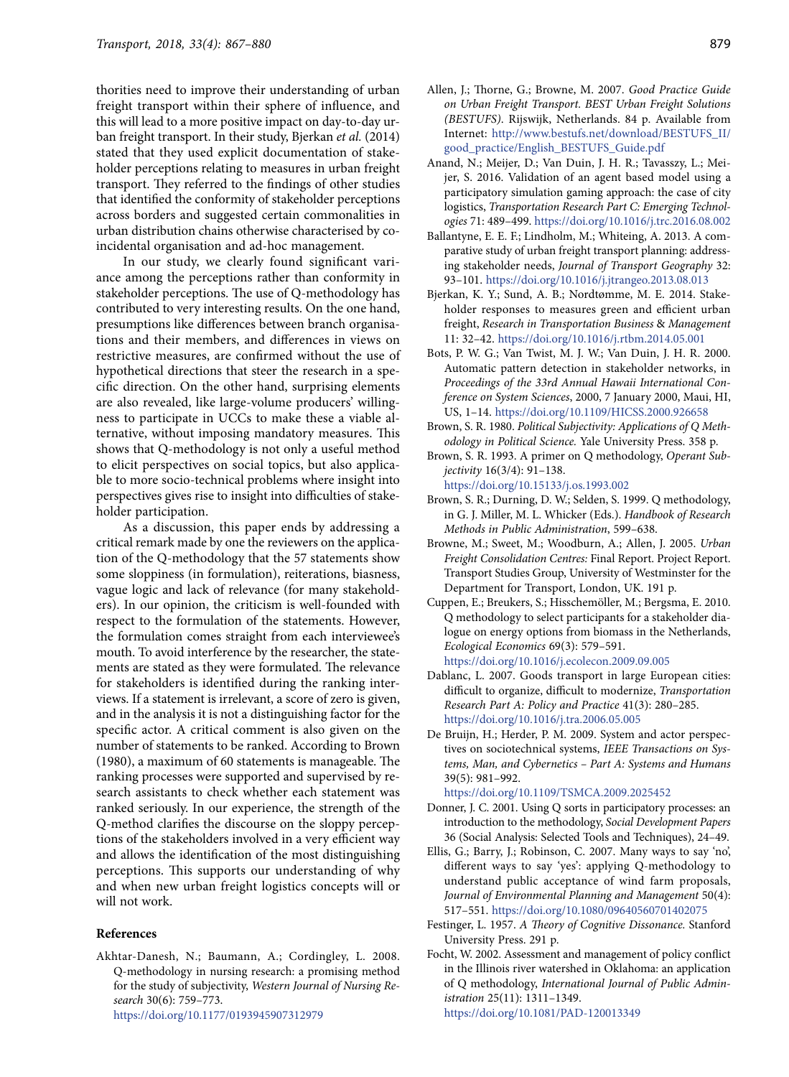thorities need to improve their understanding of urban freight transport within their sphere of influence, and this will lead to a more positive impact on day-to-day urban freight transport. In their study, Bjerkan *et al.* (2014) stated that they used explicit documentation of stakeholder perceptions relating to measures in urban freight transport. They referred to the findings of other studies that identified the conformity of stakeholder perceptions across borders and suggested certain commonalities in urban distribution chains otherwise characterised by coincidental organisation and ad-hoc management.

In our study, we clearly found significant variance among the perceptions rather than conformity in stakeholder perceptions. The use of Q-methodology has contributed to very interesting results. On the one hand, presumptions like differences between branch organisations and their members, and differences in views on restrictive measures, are confirmed without the use of hypothetical directions that steer the research in a specific direction. On the other hand, surprising elements are also revealed, like large-volume producers' willingness to participate in UCCs to make these a viable alternative, without imposing mandatory measures. This shows that Q-methodology is not only a useful method to elicit perspectives on social topics, but also applicable to more socio-technical problems where insight into perspectives gives rise to insight into difficulties of stakeholder participation.

As a discussion, this paper ends by addressing a critical remark made by one the reviewers on the application of the Q-methodology that the 57 statements show some sloppiness (in formulation), reiterations, biasness, vague logic and lack of relevance (for many stakeholders). In our opinion, the criticism is well-founded with respect to the formulation of the statements. However, the formulation comes straight from each interviewee's mouth. To avoid interference by the researcher, the statements are stated as they were formulated. The relevance for stakeholders is identified during the ranking interviews. If a statement is irrelevant, a score of zero is given, and in the analysis it is not a distinguishing factor for the specific actor. A critical comment is also given on the number of statements to be ranked. According to Brown (1980), a maximum of 60 statements is manageable. The ranking processes were supported and supervised by research assistants to check whether each statement was ranked seriously. In our experience, the strength of the Q-method clarifies the discourse on the sloppy perceptions of the stakeholders involved in a very efficient way and allows the identification of the most distinguishing perceptions. This supports our understanding of why and when new urban freight logistics concepts will or will not work.

#### **References**

Akhtar-Danesh, N.; Baumann, A.; Cordingley, L. 2008. Q-methodology in nursing research: a promising method for the study of subjectivity, *Western Journal of Nursing Research* 30(6): 759–773. <https://doi.org/10.1177/0193945907312979>

Allen, J.; Thorne, G.; Browne, M. 2007. *Good Practice Guide on Urban Freight Transport. BEST Urban Freight Solutions (BESTUFS)*. Rijswijk, Netherlands. 84 p. Available from Internet: [http://www.bestufs.net/download/BESTUFS\\_II/](http://www.bestufs.net/download/BESTUFS_II/good_practice/English_BESTUFS_Guide.pdf) [good\\_practice/English\\_BESTUFS\\_Guide.pdf](http://www.bestufs.net/download/BESTUFS_II/good_practice/English_BESTUFS_Guide.pdf) 

- Anand, N.; Meijer, D.; Van Duin, J. H. R.; Tavasszy, L.; Meijer, S. 2016. Validation of an agent based model using a participatory simulation gaming approach: the case of city logistics, *Transportation Research Part C: Emerging Technologies* 71: 489–499. <https://doi.org/10.1016/j.trc.2016.08.002>
- Ballantyne, E. E. F.; Lindholm, M.; Whiteing, A. 2013. A comparative study of urban freight transport planning: addressing stakeholder needs, *Journal of Transport Geography* 32: 93–101. <https://doi.org/10.1016/j.jtrangeo.2013.08.013>
- Bjerkan, K. Y.; Sund, A. B.; Nordtømme, M. E. 2014. Stakeholder responses to measures green and efficient urban freight, *Research in Transportation Business* & *Management* 11: 32–42. <https://doi.org/10.1016/j.rtbm.2014.05.001>
- Bots, P. W. G.; Van Twist, M. J. W.; Van Duin, J. H. R. 2000. Automatic pattern detection in stakeholder networks, in *Proceedings of the 33rd Annual Hawaii International Conference on System Sciences*, 2000, 7 January 2000, Maui, HI, US, 1–14. <https://doi.org/10.1109/HICSS.2000.926658>
- Brown, S. R. 1980. *Political Subjectivity: Applications of Q Methodology in Political Science.* Yale University Press. 358 p.
- Brown, S. R. 1993. A primer on Q methodology, *Operant Subjectivity* 16(3/4): 91–138. <https://doi.org/10.15133/j.os.1993.002>
- Brown, S. R.; Durning, D. W.; Selden, S. 1999. Q methodology, in G. J. Miller, M. L. Whicker (Eds.). *Handbook of Research Methods in Public Administration*, 599–638.
- Browne, M.; Sweet, M.; Woodburn, A.; Allen, J. 2005. *Urban Freight Consolidation Centres:* Final Report. Project Report. Transport Studies Group, University of Westminster for the Department for Transport, London, UK. 191 p.
- Cuppen, E.; Breukers, S.; Hisschemöller, M.; Bergsma, E. 2010. Q methodology to select participants for a stakeholder dialogue on energy options from biomass in the Netherlands, *Ecological Economics* 69(3): 579–591. <https://doi.org/10.1016/j.ecolecon.2009.09.005>
- Dablanc, L. 2007. Goods transport in large European cities: difficult to organize, difficult to modernize, *Transportation Research Part A: Policy and Practice* 41(3): 280–285. <https://doi.org/10.1016/j.tra.2006.05.005>
- De Bruijn, H.; Herder, P. M. 2009. System and actor perspectives on sociotechnical systems, *IEEE Transactions on Systems, Man, and Cybernetics – Part A: Systems and Humans* 39(5): 981–992.

<https://doi.org/10.1109/TSMCA.2009.2025452>

- Donner, J. C. 2001. Using Q sorts in participatory processes: an introduction to the methodology, *Social Development Papers* 36 (Social Analysis: Selected Tools and Techniques), 24–49.
- Ellis, G.; Barry, J.; Robinson, C. 2007. Many ways to say 'no', different ways to say 'yes': applying Q-methodology to understand public acceptance of wind farm proposals, *Journal of Environmental Planning and Management* 50(4): 517–551. <https://doi.org/10.1080/09640560701402075>
- Festinger, L. 1957. *A Theory of Cognitive Dissonance.* Stanford University Press. 291 p.
- Focht, W. 2002. Assessment and management of policy conflict in the Illinois river watershed in Oklahoma: an application of Q methodology, *International Journal of Public Administration* 25(11): 1311–1349. <https://doi.org/10.1081/PAD-120013349>